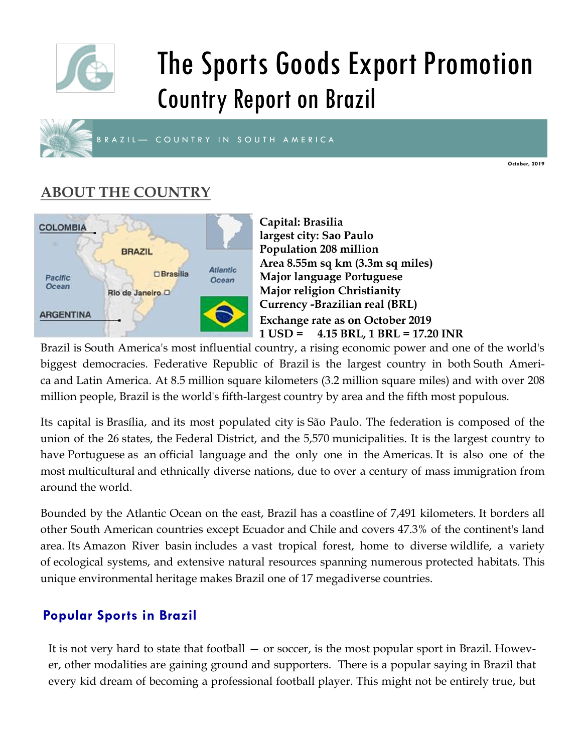

# The Sports Goods Export Promotion Country Report on Brazil



B R A Z I L - COUNTRY IN SOUTH A MERICA

**October, 2019**

# **ABOUT THE COUNTRY**



**Capital: Brasilia largest city: Sao Paulo Population 208 million Area 8.55m sq km (3.3m sq miles) Major language Portuguese Major religion Christianity Currency -Brazilian real (BRL) Exchange rate as on October 2019 1 USD = 4.15 BRL, 1 BRL = 17.20 INR** 

Brazil is South America's most influential country, a rising economic power and one of the world's biggest democracies. Federative Republic of Brazil is the largest country in both South America and Latin America. At 8.5 million square kilometers (3.2 million square miles) and with over 208 million people, Brazil is the world's fifth-largest country by area and the fifth most populous.

Its capital is Brasília, and its most populated city is São Paulo. The federation is composed of the union of the 26 states, the Federal District, and the 5,570 municipalities. It is the largest country to have Portuguese as an official language and the only one in the Americas. It is also one of the most multicultural and ethnically diverse nations, due to over a century of mass immigration from around the world.

Bounded by the Atlantic Ocean on the east, Brazil has a coastline of 7,491 kilometers. It borders all other South American countries except Ecuador and Chile and covers 47.3% of the continent's land area. Its Amazon River basin includes a vast tropical forest, home to diverse wildlife, a variety of ecological systems, and extensive natural resources spanning numerous protected habitats. This unique environmental heritage makes Brazil one of 17 megadiverse countries.

# **Popular Sports in Brazil**

It is not very hard to state that football — or soccer, is the most popular sport in Brazil. However, other modalities are gaining ground and supporters. There is a popular saying in Brazil that every kid dream of becoming a professional football player. This might not be entirely true, but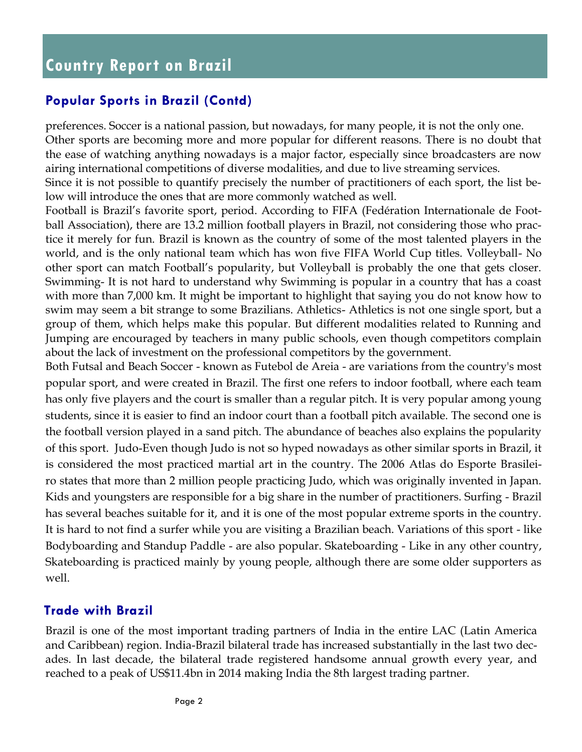## **Popular Sports in Brazil (Contd)**

preferences. Soccer is a national passion, but nowadays, for many people, it is not the only one. Other sports are becoming more and more popular for different reasons. There is no doubt that the ease of watching anything nowadays is a major factor, especially since broadcasters are now airing [international competitions](http://thebrazilbusiness.com/article/visa-for-foreign-artist-or-sportsperson-in-brazil) of diverse modalities, and due to live streaming services.

Since it is not possible to quantify precisely the number of practitioners of each sport, the list below will introduce the ones that are more commonly watched as well.

[Football is Brazil's favorite sport](http://thebrazilbusiness.com/article/36-largest-soccer-teams-in-brazil), period. According to FIFA (Fedération Internationale de Football Association), there are 13.2 million football players in Brazil, not considering those who practice it merely for fun. Brazil is known as the country of some of the most talented players in the world, and is the only national team which has won five FIFA World Cup titles. Volleyball- No other sport can match Football's popularity, but Volleyball is probably the one that gets closer. Swimming- It is not hard to understand why Swimming is popular in a country that has a coast with more than 7,000 km. It might be important to highlight that saying you do not know how to swim may seem a bit strange to some Brazilians. Athletics- Athletics is not one single sport, but a group of them, which helps make this popular. But different modalities related to Running and Jumping are encouraged by teachers in many public schools, even though competitors complain about the lack of investment on the professional competitors by the government.

Both Futsal and Beach Soccer - known as Futebol de Areia - are variations from the country's most popular sport, and were [created in Brazil.](http://thebrazilbusiness.com/article/7-most-famous-brazilian-inventions) The first one refers to indoor football, where each team has only five players and the court is smaller than a regular pitch. It is very popular among young students, since it is easier to find an indoor court than a football pitch available. The second one is the football version played in a sand pitch. The abundance of beaches also explains the popularity of this sport. Judo-Even though Judo is not so hyped nowadays as other similar sports in Brazil, it is considered the most practiced martial art in the country. The 2006 Atlas do Esporte Brasileiro states that more than 2 million people practicing Judo, which was originally invented in Japan. Kids and youngsters are responsible for a big share in the number of practitioners. Surfing - Brazil has several beaches suitable for it, and it is one of the most popular extreme sports in the country. It is hard to not find a surfer while you are visiting a Brazilian beach. Variations of this sport - like Bodyboarding and Standup Paddle - are also popular. Skateboarding - Like in any other country, Skateboarding is practiced mainly by young people, although there are some older supporters as well.

## **Trade with Brazil**

Brazil is one of the most important trading partners of India in the entire LAC (Latin America and Caribbean) region. India-Brazil bilateral trade has increased substantially in the last two decades. In last decade, the bilateral trade registered handsome annual growth every year, and reached to a peak of US\$11.4bn in 2014 making India the 8th largest trading partner.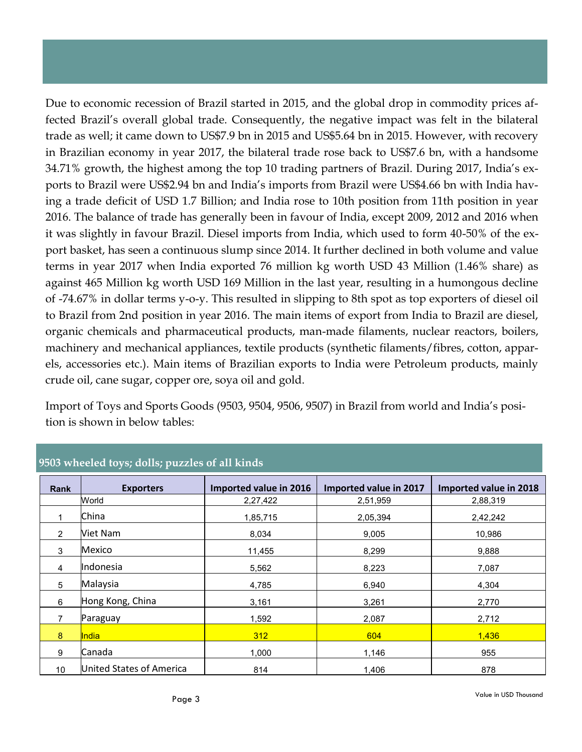Due to economic recession of Brazil started in 2015, and the global drop in commodity prices affected Brazil's overall global trade. Consequently, the negative impact was felt in the bilateral trade as well; it came down to US\$7.9 bn in 2015 and US\$5.64 bn in 2015. However, with recovery in Brazilian economy in year 2017, the bilateral trade rose back to US\$7.6 bn, with a handsome 34.71% growth, the highest among the top 10 trading partners of Brazil. During 2017, India's exports to Brazil were US\$2.94 bn and India's imports from Brazil were US\$4.66 bn with India having a trade deficit of USD 1.7 Billion; and India rose to 10th position from 11th position in year 2016. The balance of trade has generally been in favour of India, except 2009, 2012 and 2016 when it was slightly in favour Brazil. Diesel imports from India, which used to form 40-50% of the export basket, has seen a continuous slump since 2014. It further declined in both volume and value terms in year 2017 when India exported 76 million kg worth USD 43 Million (1.46% share) as against 465 Million kg worth USD 169 Million in the last year, resulting in a humongous decline of -74.67% in dollar terms y-o-y. This resulted in slipping to 8th spot as top exporters of diesel oil to Brazil from 2nd position in year 2016. The main items of export from India to Brazil are diesel, organic chemicals and pharmaceutical products, man-made filaments, nuclear reactors, boilers, machinery and mechanical appliances, textile products (synthetic filaments/fibres, cotton, apparels, accessories etc.). Main items of Brazilian exports to India were Petroleum products, mainly crude oil, cane sugar, copper ore, soya oil and gold.

Import of Toys and Sports Goods (9503, 9504, 9506, 9507) in Brazil from world and India's position is shown in below tables:

| Rank           | <b>Exporters</b>         | Imported value in 2016 | Imported value in 2017 | Imported value in 2018 |
|----------------|--------------------------|------------------------|------------------------|------------------------|
|                | World                    | 2,27,422               | 2,51,959               | 2,88,319               |
|                | China                    | 1,85,715               | 2,05,394               | 2,42,242               |
| $\overline{2}$ | Viet Nam                 | 8,034                  | 9,005                  | 10,986                 |
| 3              | Mexico                   | 11,455                 | 8,299                  | 9,888                  |
| 4              | Indonesia                | 5,562                  | 8,223                  | 7,087                  |
| 5              | Malaysia                 | 4,785                  | 6,940                  | 4,304                  |
| 6              | Hong Kong, China         | 3,161                  | 3,261                  | 2,770                  |
| $\overline{7}$ | Paraguay                 | 1,592                  | 2,087                  | 2,712                  |
| 8              | <b>I</b> ndia            | 312                    | 604                    | 1,436                  |
| 9              | Canada                   | 1,000                  | 1,146                  | 955                    |
| 10             | United States of America | 814                    | 1,406                  | 878                    |

#### **9503 wheeled toys; dolls; puzzles of all kinds**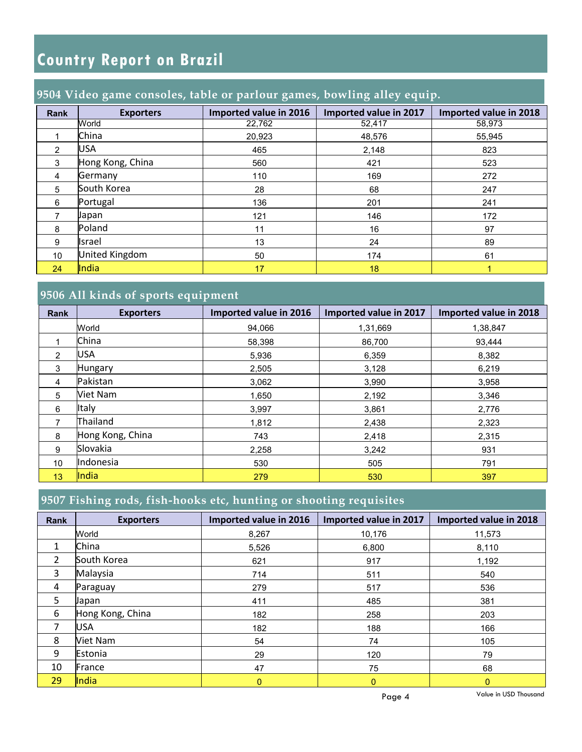#### **9504 Video game consoles, table or parlour games, bowling alley equip.**

| <b>Rank</b>    | <b>Exporters</b> | Imported value in 2016 | Imported value in 2017 | Imported value in 2018 |
|----------------|------------------|------------------------|------------------------|------------------------|
|                | World            | 22,762                 | 52,417                 | 58,973                 |
|                | China            | 20,923                 | 48,576                 | 55,945                 |
| $\overline{2}$ | <b>USA</b>       | 465                    | 2,148                  | 823                    |
| 3              | Hong Kong, China | 560                    | 421                    | 523                    |
| $\overline{4}$ | Germany          | 110                    | 169                    | 272                    |
| 5              | South Korea      | 28                     | 68                     | 247                    |
| 6              | Portugal         | 136                    | 201                    | 241                    |
|                | Japan            | 121                    | 146                    | 172                    |
| 8              | Poland           | 11                     | 16                     | 97                     |
| 9              | Israel           | 13                     | 24                     | 89                     |
| 10             | United Kingdom   | 50                     | 174                    | 61                     |
| 24             | India            | 17                     | 18                     |                        |

## **9506 All kinds of sports equipment**

| Rank | <b>Exporters</b> | Imported value in 2016 | Imported value in 2017 | Imported value in 2018 |
|------|------------------|------------------------|------------------------|------------------------|
|      | World            | 94,066                 | 1,31,669               | 1,38,847               |
|      | China            | 58,398                 | 86,700                 | 93,444                 |
| 2    | <b>USA</b>       | 5,936                  | 6,359                  | 8,382                  |
| 3    | <b>Hungary</b>   | 2,505                  | 3,128                  | 6,219                  |
| 4    | Pakistan         | 3.062                  | 3,990                  | 3,958                  |
| 5    | Viet Nam         | 1,650                  | 2,192                  | 3,346                  |
| 6    | Italy            | 3,997                  | 3,861                  | 2,776                  |
|      | Thailand         | 1,812                  | 2,438                  | 2,323                  |
| 8    | Hong Kong, China | 743                    | 2,418                  | 2,315                  |
| 9    | Slovakia         | 2,258                  | 3,242                  | 931                    |
| 10   | Indonesia        | 530                    | 505                    | 791                    |
| 13   | India            | 279                    | 530                    | 397                    |

### **9507 Fishing rods, fish-hooks etc, hunting or shooting requisites**

| Rank | <b>Exporters</b> | Imported value in 2016 | Imported value in 2017 | Imported value in 2018 |
|------|------------------|------------------------|------------------------|------------------------|
|      | World            | 8,267                  | 10,176                 | 11,573                 |
| 1    | China            | 5,526                  | 6,800                  | 8,110                  |
| 2    | South Korea      | 621                    | 917                    | 1,192                  |
| 3    | Malaysia         | 714                    | 511                    | 540                    |
| 4    | Paraguay         | 279                    | 517                    | 536                    |
| 5    | Japan            | 411                    | 485                    | 381                    |
| 6    | Hong Kong, China | 182                    | 258                    | 203                    |
| 7    | <b>USA</b>       | 182                    | 188                    | 166                    |
| 8    | <b>Viet Nam</b>  | 54                     | 74                     | 105                    |
| 9    | Estonia          | 29                     | 120                    | 79                     |
| 10   | France           | 47                     | 75                     | 68                     |
| 29   | India            | $\mathbf{0}$           | $\mathbf{0}$           | $\mathbf{0}$           |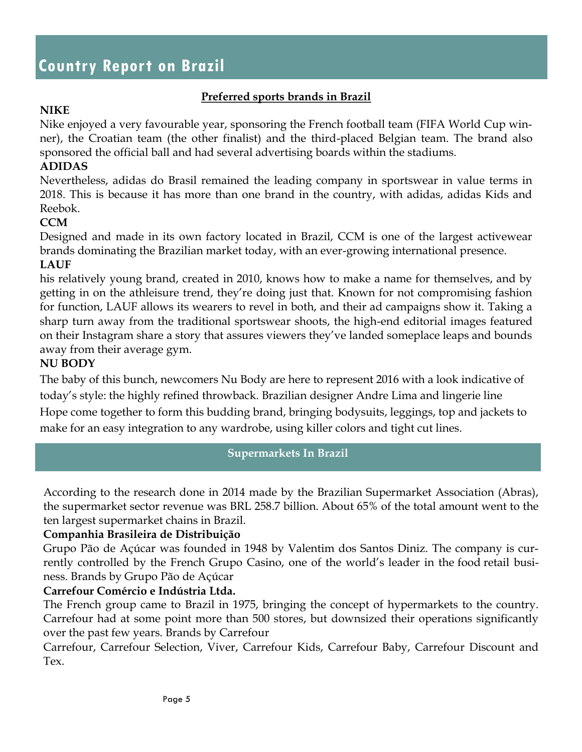#### **Preferred sports brands in Brazil**

#### **NIKE**

Nike enjoyed a very favourable year, sponsoring the French football team (FIFA World Cup winner), the Croatian team (the other finalist) and the third-placed Belgian team. The brand also sponsored the official ball and had several advertising boards within the stadiums.

#### **ADIDAS**

Nevertheless, adidas do Brasil remained the leading company in sportswear in value terms in 2018. This is because it has more than one brand in the country, with adidas, adidas Kids and Reebok.

#### **[CCM](http://ccm.net.br/)**

Designed and made in its own factory located in Brazil, CCM is one of the largest activewear brands dominating the Brazilian market today, with an ever-growing international presence. **LAUF**

his relatively young brand, created in 2010, knows how to make a name for themselves, and by getting in on the athleisure trend, they're doing just that. Known for not compromising fashion for function, LAUF allows its wearers to revel in both, and their ad campaigns show it. Taking a sharp turn away from the traditional sportswear shoots, the high-end editorial images featured on their Instagram share a story that assures viewers they've landed someplace leaps and bounds away from their average gym.

#### **[NU BODY](http://nubodywear.com/)**

The baby of this bunch, newcomers Nu Body are here to represent 2016 with a look indicative of today's style: the highly refined throwback. Brazilian designer Andre Lima and lingerie line Hope come together to form this budding brand, bringing bodysuits, leggings, top and jackets to make for an easy integration to any wardrobe, using killer colors and tight cut lines.

#### **Supermarkets In Brazil**

According to the research done in 2014 made by the Brazilian Supermarket Association (Abras), the supermarket sector revenue was BRL 258.7 billion. About 65% of the total amount went to the ten largest supermarket chains in Brazil.

#### **Companhia Brasileira de Distribuição**

Grupo Pão de Açúcar was founded in 1948 by Valentim dos Santos Diniz. The company is currently controlled by the French Grupo Casino, one of the world's leader in the [food](http://thebrazilbusiness.com/article/restrictions-for-food-importation) retail business. Brands by Grupo Pão de Açúcar

#### **Carrefour Comércio e Indústria Ltda.**

The French group came to Brazil in 1975, bringing the concept of hypermarkets to the country. Carrefour had at some point more than 500 stores, but downsized their operations significantly over the past few years. Brands by Carrefour

Carrefour, Carrefour Selection, Viver, Carrefour Kids, Carrefour Baby, Carrefour Discount and Tex.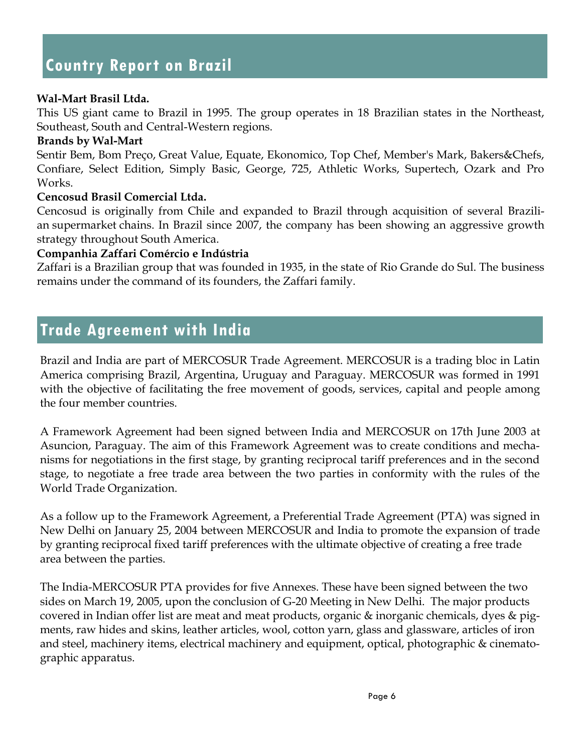#### **Wal-Mart Brasil Ltda.**

This US giant came to Brazil in 1995. The group operates in 18 Brazilian states in the Northeast, Southeast, South and Central-Western [regions.](http://thebrazilbusiness.com/article/brazilian-regions-for-foreign-investors)

#### **Brands by Wal-Mart**

Sentir Bem, Bom Preço, Great Value, Equate, Ekonomico, Top Chef, Member's Mark, Bakers&Chefs, Confiare, Select Edition, Simply Basic, George, 725, Athletic Works, Supertech, Ozark and Pro Works.

#### **Cencosud Brasil Comercial Ltda.**

Cencosud is originally from Chile and expanded to Brazil through acquisition of several Brazilian [supermarket](http://thebrazilbusiness.com/article/brazilian-supermarket-ecosystem) chains. In Brazil since 2007, the company has been showing an aggressive growth strategy throughout South America.

#### **Companhia Zaffari Comércio e Indústria**

Zaffari is a Brazilian group that was founded in 1935, in the state of Rio Grande do Sul. The business remains under the command of its founders, the Zaffari family.

# **Trade Agreement with India**

Brazil and India are part of MERCOSUR Trade Agreement. MERCOSUR is a trading bloc in Latin America comprising Brazil, Argentina, Uruguay and Paraguay. MERCOSUR was formed in 1991 with the objective of facilitating the free movement of goods, services, capital and people among the four member countries.

A Framework Agreement had been signed between India and MERCOSUR on 17th June 2003 at Asuncion, Paraguay. The aim of this Framework Agreement was to create conditions and mechanisms for negotiations in the first stage, by granting reciprocal tariff preferences and in the second stage, to negotiate a free trade area between the two parties in conformity with the rules of the World Trade Organization.

As a follow up to the Framework Agreement, a Preferential Trade Agreement (PTA) was signed in New Delhi on January 25, 2004 between MERCOSUR and India to promote the expansion of trade by granting reciprocal fixed tariff preferences with the ultimate objective of creating a free trade area between the parties.

The India-MERCOSUR PTA provides for five Annexes. These have been signed between the two sides on March 19, 2005, upon the conclusion of G-20 Meeting in New Delhi. The major products covered in Indian offer list are meat and meat products, organic & inorganic chemicals, dyes & pigments, raw hides and skins, leather articles, wool, cotton yarn, glass and glassware, articles of iron and steel, machinery items, electrical machinery and equipment, optical, photographic & cinematographic apparatus.